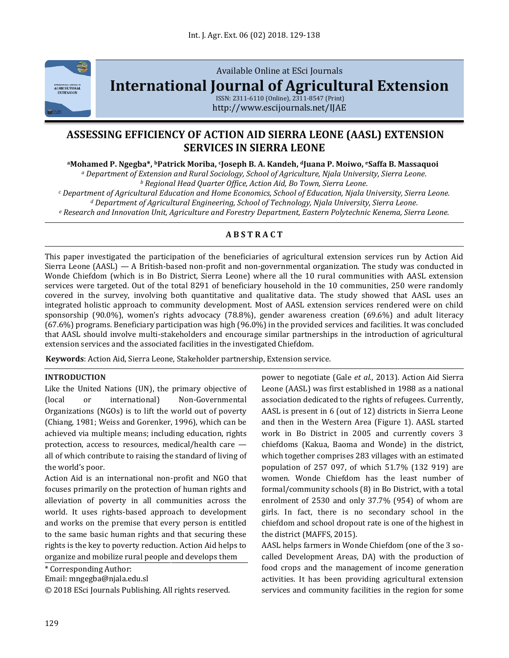

# Available Online at ESci Journals **[International Journal of Agricultural Extension](http://www.escijournals.net/IJER)**

ISSN: 2311-6110 (Online), 2311-8547 (Print) http://www.escijournals.net/IJAE

# **ASSESSING EFFICIENCY OF ACTION AID SIERRA LEONE (AASL) EXTENSION SERVICES IN SIERRA LEONE**

**<sup>a</sup>Mohamed P. Ngegba\*, bPatrick Moriba, <sup>c</sup>Joseph B. A. Kandeh, <sup>d</sup>Juana P. Moiwo, <sup>e</sup>Saffa B. Massaquoi** *<sup>a</sup> Department of Extension and Rural Sociology, School of Agriculture, Njala University, Sierra Leone.*

*<sup>b</sup> Regional Head Quarter Office, Action Aid, Bo Town, Sierra Leone.*

*<sup>c</sup> Department of Agricultural Education and Home Economics, School of Education, Njala University, Sierra Leone. <sup>d</sup> Department of Agricultural Engineering, School of Technology, Njala University, Sierra Leone.*

*<sup>e</sup> Research and Innovation Unit, Agriculture and Forestry Department, Eastern Polytechnic Kenema, Sierra Leone.*

## **A B S T R A C T**

This paper investigated the participation of the beneficiaries of agricultural extension services run by Action Aid Sierra Leone (AASL) — A British-based non-profit and non-governmental organization. The study was conducted in Wonde Chiefdom (which is in Bo District, Sierra Leone) where all the 10 rural communities with AASL extension services were targeted. Out of the total 8291 of beneficiary household in the 10 communities, 250 were randomly covered in the survey, involving both quantitative and qualitative data. The study showed that AASL uses an integrated holistic approach to community development. Most of AASL extension services rendered were on child sponsorship (90.0%), women's rights advocacy (78.8%), gender awareness creation (69.6%) and adult literacy (67.6%) programs. Beneficiary participation was high (96.0%) in the provided services and facilities. It was concluded that AASL should involve multi-stakeholders and encourage similar partnerships in the introduction of agricultural extension services and the associated facilities in the investigated Chiefdom.

**Keywords**: Action Aid, Sierra Leone, Stakeholder partnership, Extension service.

### **INTRODUCTION**

Like the United Nations (UN), the primary objective of (local or international) Non-Governmental Organizations (NGOs) is to lift the world out of poverty (Chiang, 1981; Weiss and Gorenker, 1996), which can be achieved via multiple means; including education, rights protection, access to resources, medical/health care all of which contribute to raising the standard of living of the world's poor.

Action Aid is an international non-profit and NGO that focuses primarily on the protection of human rights and alleviation of poverty in all communities across the world. It uses rights-based approach to development and works on the premise that every person is entitled to the same basic human rights and that securing these rights is the key to poverty reduction. Action Aid helps to organize and mobilize rural people and develops them

\* Corresponding Author:

Email: mngegba@njala.edu.sl

© 2018 ESci Journals Publishing. All rights reserved.

power to negotiate (Gale *et al.,* 2013). Action Aid Sierra Leone (AASL) was first established in 1988 as a national association dedicated to the rights of refugees. Currently, AASL is present in 6 (out of 12) districts in Sierra Leone and then in the Western Area (Figure 1). AASL started work in Bo District in 2005 and currently covers 3 chiefdoms (Kakua, Baoma and Wonde) in the district, which together comprises 283 villages with an estimated population of 257 097, of which 51.7% (132 919) are women. Wonde Chiefdom has the least number of formal/community schools (8) in Bo District, with a total enrolment of 2530 and only 37.7% (954) of whom are girls. In fact, there is no secondary school in the chiefdom and school dropout rate is one of the highest in the district (MAFFS, 2015).

AASL helps farmers in Wonde Chiefdom (one of the 3 socalled Development Areas, DA) with the production of food crops and the management of income generation activities. It has been providing agricultural extension services and community facilities in the region for some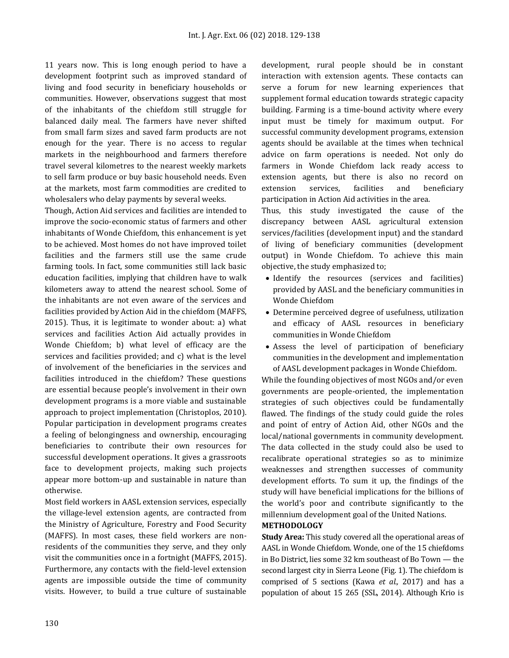11 years now. This is long enough period to have a development footprint such as improved standard of living and food security in beneficiary households or communities. However, observations suggest that most of the inhabitants of the chiefdom still struggle for balanced daily meal. The farmers have never shifted from small farm sizes and saved farm products are not enough for the year. There is no access to regular markets in the neighbourhood and farmers therefore travel several kilometres to the nearest weekly markets to sell farm produce or buy basic household needs. Even at the markets, most farm commodities are credited to wholesalers who delay payments by several weeks.

Though, Action Aid services and facilities are intended to improve the socio-economic status of farmers and other inhabitants of Wonde Chiefdom, this enhancement is yet to be achieved. Most homes do not have improved toilet facilities and the farmers still use the same crude farming tools. In fact, some communities still lack basic education facilities, implying that children have to walk kilometers away to attend the nearest school. Some of the inhabitants are not even aware of the services and facilities provided by Action Aid in the chiefdom (MAFFS, 2015). Thus, it is legitimate to wonder about: a) what services and facilities Action Aid actually provides in Wonde Chiefdom; b) what level of efficacy are the services and facilities provided; and c) what is the level of involvement of the beneficiaries in the services and facilities introduced in the chiefdom? These questions are essential because people's involvement in their own development programs is a more viable and sustainable approach to project implementation (Christoplos, 2010). Popular participation in development programs creates a feeling of belongingness and ownership, encouraging beneficiaries to contribute their own resources for successful development operations. It gives a grassroots face to development projects, making such projects appear more bottom-up and sustainable in nature than otherwise.

Most field workers in AASL extension services, especially the village-level extension agents, are contracted from the Ministry of Agriculture, Forestry and Food Security (MAFFS). In most cases, these field workers are nonresidents of the communities they serve, and they only visit the communities once in a fortnight (MAFFS, 2015). Furthermore, any contacts with the field-level extension agents are impossible outside the time of community visits. However, to build a true culture of sustainable

development, rural people should be in constant interaction with extension agents. These contacts can serve a forum for new learning experiences that supplement formal education towards strategic capacity building. Farming is a time-bound activity where every input must be timely for maximum output. For successful community development programs, extension agents should be available at the times when technical advice on farm operations is needed. Not only do farmers in Wonde Chiefdom lack ready access to extension agents, but there is also no record on extension services, facilities and beneficiary participation in Action Aid activities in the area.

Thus, this study investigated the cause of the discrepancy between AASL agricultural extension services/facilities (development input) and the standard of living of beneficiary communities (development output) in Wonde Chiefdom. To achieve this main objective, the study emphasized to;

- Identify the resources (services and facilities) provided by AASL and the beneficiary communities in Wonde Chiefdom
- Determine perceived degree of usefulness, utilization and efficacy of AASL resources in beneficiary communities in Wonde Chiefdom
- Assess the level of participation of beneficiary communities in the development and implementation of AASL development packages in Wonde Chiefdom.

While the founding objectives of most NGOs and/or even governments are people-oriented, the implementation strategies of such objectives could be fundamentally flawed. The findings of the study could guide the roles and point of entry of Action Aid, other NGOs and the local/national governments in community development. The data collected in the study could also be used to recalibrate operational strategies so as to minimize weaknesses and strengthen successes of community development efforts. To sum it up, the findings of the study will have beneficial implications for the billions of the world's poor and contribute significantly to the millennium development goal of the United Nations.

#### **METHODOLOGY**

**Study Area:** This study covered all the operational areas of AASL in Wonde Chiefdom. Wonde, one of the 15 chiefdoms in Bo District, lies some 32 km southeast of Bo Town — the second largest city in Sierra Leone (Fig. 1). The chiefdom is comprised of 5 sections (Kawa *et al.,* 2017) and has a population of about 15 265 (SSL, 2014). Although Krio is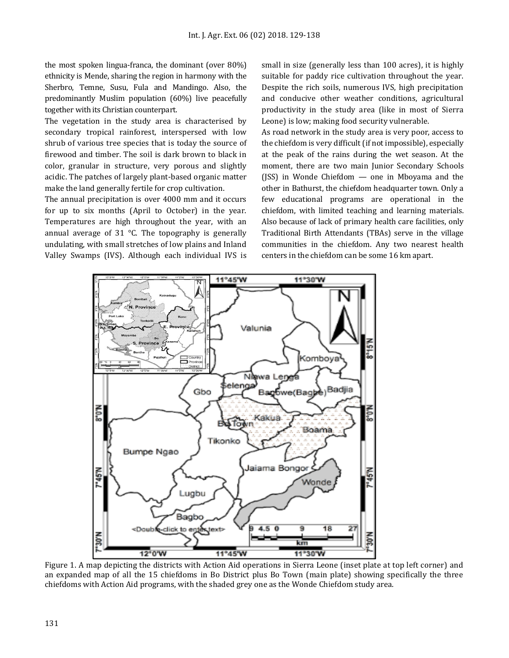the most spoken lingua-franca, the dominant (over 80%) ethnicity is Mende, sharing the region in harmony with the Sherbro, Temne, Susu, Fula and Mandingo. Also, the predominantly Muslim population (60%) live peacefully together with its Christian counterpart.

The vegetation in the study area is characterised by secondary tropical rainforest, interspersed with low shrub of various tree species that is today the source of firewood and timber. The soil is dark brown to black in color, granular in structure, very porous and slightly acidic. The patches of largely plant-based organic matter make the land generally fertile for crop cultivation.

The annual precipitation is over 4000 mm and it occurs for up to six months (April to October) in the year. Temperatures are high throughout the year, with an annual average of 31 °C. The topography is generally undulating, with small stretches of low plains and Inland Valley Swamps (IVS). Although each individual IVS is small in size (generally less than 100 acres), it is highly suitable for paddy rice cultivation throughout the year. Despite the rich soils, numerous IVS, high precipitation and conducive other weather conditions, agricultural productivity in the study area (like in most of Sierra Leone) is low; making food security vulnerable.

As road network in the study area is very poor, access to the chiefdom is very difficult (if not impossible), especially at the peak of the rains during the wet season. At the moment, there are two main Junior Secondary Schools (JSS) in Wonde Chiefdom — one in Mboyama and the other in Bathurst, the chiefdom headquarter town. Only a few educational programs are operational in the chiefdom, with limited teaching and learning materials. Also because of lack of primary health care facilities, only Traditional Birth Attendants (TBAs) serve in the village communities in the chiefdom. Any two nearest health centers in the chiefdom can be some 16 km apart.



Figure 1. A map depicting the districts with Action Aid operations in Sierra Leone (inset plate at top left corner) and an expanded map of all the 15 chiefdoms in Bo District plus Bo Town (main plate) showing specifically the three chiefdoms with Action Aid programs, with the shaded grey one as the Wonde Chiefdom study area.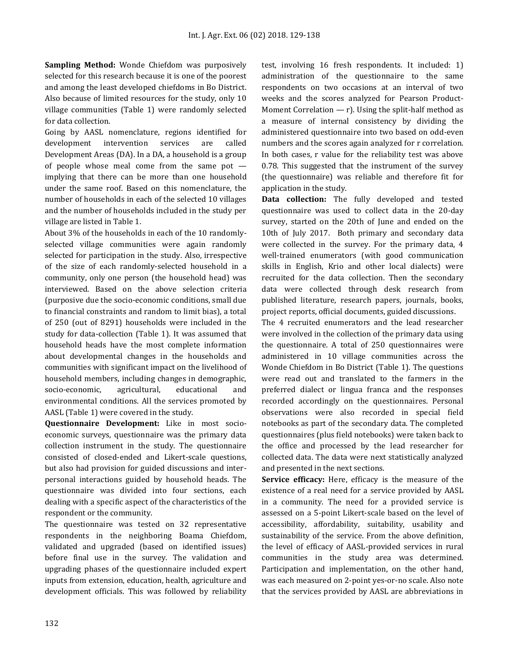**Sampling Method:** Wonde Chiefdom was purposively selected for this research because it is one of the poorest and among the least developed chiefdoms in Bo District. Also because of limited resources for the study, only 10 village communities (Table 1) were randomly selected for data collection.

Going by AASL nomenclature, regions identified for development intervention services are called Development Areas (DA). In a DA, a household is a group of people whose meal come from the same pot implying that there can be more than one household under the same roof. Based on this nomenclature, the number of households in each of the selected 10 villages and the number of households included in the study per village are listed in Table 1.

About 3% of the households in each of the 10 randomlyselected village communities were again randomly selected for participation in the study. Also, irrespective of the size of each randomly-selected household in a community, only one person (the household head) was interviewed. Based on the above selection criteria (purposive due the socio-economic conditions, small due to financial constraints and random to limit bias), a total of 250 (out of 8291) households were included in the study for data-collection (Table 1). It was assumed that household heads have the most complete information about developmental changes in the households and communities with significant impact on the livelihood of household members, including changes in demographic, socio-economic, agricultural, educational and environmental conditions. All the services promoted by AASL (Table 1) were covered in the study.

**Questionnaire Development:** Like in most socioeconomic surveys, questionnaire was the primary data collection instrument in the study. The questionnaire consisted of closed-ended and Likert-scale questions, but also had provision for guided discussions and interpersonal interactions guided by household heads. The questionnaire was divided into four sections, each dealing with a specific aspect of the characteristics of the respondent or the community.

The questionnaire was tested on 32 representative respondents in the neighboring Boama Chiefdom, validated and upgraded (based on identified issues) before final use in the survey. The validation and upgrading phases of the questionnaire included expert inputs from extension, education, health, agriculture and development officials. This was followed by reliability test, involving 16 fresh respondents. It included: 1) administration of the questionnaire to the same respondents on two occasions at an interval of two weeks and the scores analyzed for Pearson Product-Moment Correlation  $-$  r). Using the split-half method as a measure of internal consistency by dividing the administered questionnaire into two based on odd-even numbers and the scores again analyzed for r correlation. In both cases, r value for the reliability test was above 0.78. This suggested that the instrument of the survey (the questionnaire) was reliable and therefore fit for application in the study.

**Data collection:** The fully developed and tested questionnaire was used to collect data in the 20-day survey, started on the 20th of June and ended on the 10th of July 2017. Both primary and secondary data were collected in the survey. For the primary data, 4 well-trained enumerators (with good communication skills in English, Krio and other local dialects) were recruited for the data collection. Then the secondary data were collected through desk research from published literature, research papers, journals, books, project reports, official documents, guided discussions.

The 4 recruited enumerators and the lead researcher were involved in the collection of the primary data using the questionnaire. A total of 250 questionnaires were administered in 10 village communities across the Wonde Chiefdom in Bo District (Table 1). The questions were read out and translated to the farmers in the preferred dialect or lingua franca and the responses recorded accordingly on the questionnaires. Personal observations were also recorded in special field notebooks as part of the secondary data. The completed questionnaires (plus field notebooks) were taken back to the office and processed by the lead researcher for collected data. The data were next statistically analyzed and presented in the next sections.

**Service efficacy:** Here, efficacy is the measure of the existence of a real need for a service provided by AASL in a community. The need for a provided service is assessed on a 5-point Likert-scale based on the level of accessibility, affordability, suitability, usability and sustainability of the service. From the above definition, the level of efficacy of AASL-provided services in rural communities in the study area was determined. Participation and implementation, on the other hand, was each measured on 2-point yes-or-no scale. Also note that the services provided by AASL are abbreviations in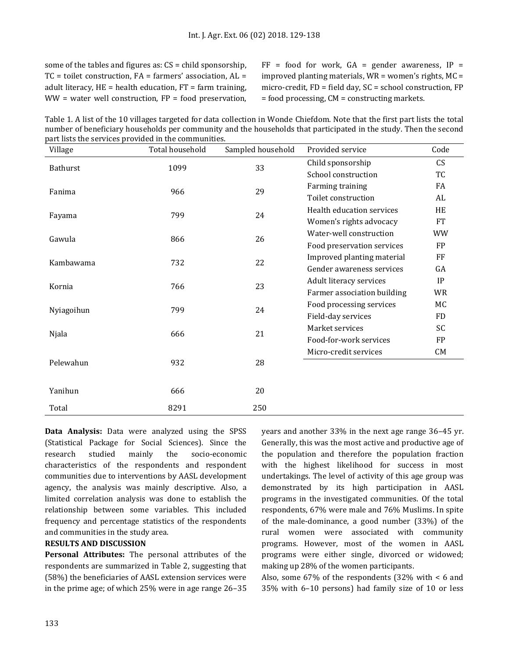some of the tables and figures as: CS = child sponsorship,  $TC =$  toilet construction,  $FA =$  farmers' association,  $AL =$ adult literacy,  $HE =$  health education,  $FT =$  farm training,  $WW = water$  well construction,  $FP = food$  preservation,  $FF = food$  for work,  $GA = gender$  awareness,  $IP =$ improved planting materials,  $WR =$  women's rights,  $MC =$ micro-credit, FD = field day, SC = school construction, FP = food processing, CM = constructing markets.

Table 1. A list of the 10 villages targeted for data collection in Wonde Chiefdom. Note that the first part lists the total number of beneficiary households per community and the households that participated in the study. Then the second part lists the services provided in the communities.

| Village    | Total household | Sampled household | Provided service            | Code      |
|------------|-----------------|-------------------|-----------------------------|-----------|
| Bathurst   | 1099            | 33                | Child sponsorship           | CS        |
|            |                 |                   | School construction         | TC        |
| Fanima     | 966             | 29                | Farming training            | FA        |
|            |                 |                   | Toilet construction         | AL        |
|            | 799             | 24                | Health education services   | HE        |
| Fayama     |                 |                   | Women's rights advocacy     | <b>FT</b> |
| Gawula     | 866             | 26                | Water-well construction     | <b>WW</b> |
|            |                 |                   | Food preservation services  | <b>FP</b> |
| Kambawama  | 732             | 22                | Improved planting material  | FF        |
|            |                 |                   | Gender awareness services   | GA        |
| Kornia     | 766             | 23                | Adult literacy services     | IP        |
|            |                 |                   | Farmer association building | WR        |
| Nyiagoihun | 799             | 24                | Food processing services    | МC        |
|            |                 |                   | Field-day services          | <b>FD</b> |
| Njala      | 666             | 21                | Market services             | SC        |
|            |                 |                   | Food-for-work services      | <b>FP</b> |
| Pelewahun  | 932             | 28                | Micro-credit services       | CM        |
|            |                 |                   |                             |           |
|            |                 |                   |                             |           |
| Yanihun    | 666             | 20                |                             |           |
| Total      | 8291            | 250               |                             |           |

**Data Analysis:** Data were analyzed using the SPSS (Statistical Package for Social Sciences). Since the research studied mainly the socio-economic characteristics of the respondents and respondent communities due to interventions by AASL development agency, the analysis was mainly descriptive. Also, a limited correlation analysis was done to establish the relationship between some variables. This included frequency and percentage statistics of the respondents and communities in the study area.

#### **RESULTS AND DISCUSSION**

**Personal Attributes:** The personal attributes of the respondents are summarized in Table 2, suggesting that (58%) the beneficiaries of AASL extension services were in the prime age; of which 25% were in age range 26–35 years and another 33% in the next age range 36–45 yr. Generally, this was the most active and productive age of the population and therefore the population fraction with the highest likelihood for success in most undertakings. The level of activity of this age group was demonstrated by its high participation in AASL programs in the investigated communities. Of the total respondents, 67% were male and 76% Muslims. In spite of the male-dominance, a good number (33%) of the rural women were associated with community programs. However, most of the women in AASL programs were either single, divorced or widowed; making up 28% of the women participants.

Also, some 67% of the respondents (32% with < 6 and 35% with 6–10 persons) had family size of 10 or less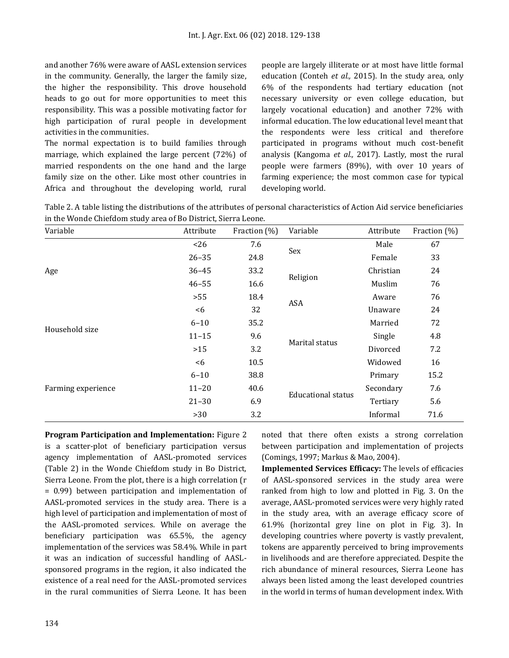and another 76% were aware of AASL extension services in the community. Generally, the larger the family size, the higher the responsibility. This drove household heads to go out for more opportunities to meet this responsibility. This was a possible motivating factor for high participation of rural people in development activities in the communities.

The normal expectation is to build families through marriage, which explained the large percent (72%) of married respondents on the one hand and the large family size on the other. Like most other countries in Africa and throughout the developing world, rural people are largely illiterate or at most have little formal education (Conteh *et al.,* 2015). In the study area, only 6% of the respondents had tertiary education (not necessary university or even college education, but largely vocational education) and another 72% with informal education. The low educational level meant that the respondents were less critical and therefore participated in programs without much cost-benefit analysis (Kangoma *et al.,* 2017). Lastly, most the rural people were farmers (89%), with over 10 years of farming experience; the most common case for typical developing world.

| Table 2. A table listing the distributions of the attributes of personal characteristics of Action Aid service beneficiaries |  |
|------------------------------------------------------------------------------------------------------------------------------|--|
| in the Wonde Chiefdom study area of Bo District, Sierra Leone.                                                               |  |

| Variable           | Attribute | Fraction (%) | Variable                  | Attribute | Fraction (%) |
|--------------------|-----------|--------------|---------------------------|-----------|--------------|
|                    | < 26      | 7.6          | Sex                       | Male      | 67           |
|                    | $26 - 35$ | 24.8         |                           | Female    | 33           |
| Age                | $36 - 45$ | 33.2         | Religion                  | Christian | 24           |
|                    | $46 - 55$ | 16.6         |                           | Muslim    | 76           |
|                    | >55       | 18.4         | <b>ASA</b>                | Aware     | 76           |
|                    | &5        | 32           |                           | Unaware   | 24           |
|                    | $6 - 10$  | 35.2         | Marital status            | Married   | 72           |
| Household size     | $11 - 15$ | 9.6          |                           | Single    | 4.8          |
|                    | >15       | 3.2          |                           | Divorced  | 7.2          |
|                    | <6        | 10.5         |                           | Widowed   | 16           |
|                    | $6 - 10$  | 38.8         | <b>Educational status</b> | Primary   | 15.2         |
| Farming experience | $11 - 20$ | 40.6         |                           | Secondary | 7.6          |
|                    | $21 - 30$ | 6.9          |                           | Tertiary  | 5.6          |
|                    | >30       | 3.2          |                           | Informal  | 71.6         |

**Program Participation and Implementation:** Figure 2 is a scatter-plot of beneficiary participation versus agency implementation of AASL-promoted services (Table 2) in the Wonde Chiefdom study in Bo District, Sierra Leone. From the plot, there is a high correlation (r = 0.99) between participation and implementation of AASL-promoted services in the study area. There is a high level of participation and implementation of most of the AASL-promoted services. While on average the beneficiary participation was 65.5%, the agency implementation of the services was 58.4%. While in part it was an indication of successful handling of AASLsponsored programs in the region, it also indicated the existence of a real need for the AASL-promoted services in the rural communities of Sierra Leone. It has been

noted that there often exists a strong correlation between participation and implementation of projects (Comings, 1997; Markus & Mao, 2004).

**Implemented Services Efficacy:** The levels of efficacies of AASL-sponsored services in the study area were ranked from high to low and plotted in Fig. 3. On the average, AASL-promoted services were very highly rated in the study area, with an average efficacy score of 61.9% (horizontal grey line on plot in Fig. 3). In developing countries where poverty is vastly prevalent, tokens are apparently perceived to bring improvements in livelihoods and are therefore appreciated. Despite the rich abundance of mineral resources, Sierra Leone has always been listed among the least developed countries in the world in terms of human development index. With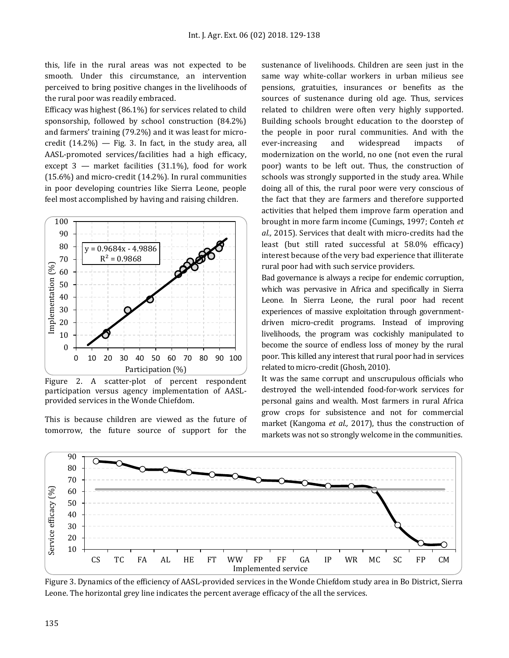this, life in the rural areas was not expected to be smooth. Under this circumstance, an intervention perceived to bring positive changes in the livelihoods of the rural poor was readily embraced.

Efficacy was highest (86.1%) for services related to child sponsorship, followed by school construction (84.2%) and farmers' training (79.2%) and it was least for microcredit  $(14.2\%)$  - Fig. 3. In fact, in the study area, all AASL-promoted services/facilities had a high efficacy, except  $3$  — market facilities (31.1%), food for work (15.6%) and micro-credit (14.2%). In rural communities in poor developing countries like Sierra Leone, people feel most accomplished by having and raising children.



Figure 2. A scatter-plot of percent respondent participation versus agency implementation of AASLprovided services in the Wonde Chiefdom.

This is because children are viewed as the future of tomorrow, the future source of support for the sustenance of livelihoods. Children are seen just in the same way white-collar workers in urban milieus see pensions, gratuities, insurances or benefits as the sources of sustenance during old age. Thus, services related to children were often very highly supported. Building schools brought education to the doorstep of the people in poor rural communities. And with the ever-increasing and widespread impacts of modernization on the world, no one (not even the rural poor) wants to be left out. Thus, the construction of schools was strongly supported in the study area. While doing all of this, the rural poor were very conscious of the fact that they are farmers and therefore supported activities that helped them improve farm operation and brought in more farm income (Cumings, 1997; Conteh *et al.,* 2015). Services that dealt with micro-credits had the least (but still rated successful at 58.0% efficacy) interest because of the very bad experience that illiterate rural poor had with such service providers.

Bad governance is always a recipe for endemic corruption, which was pervasive in Africa and specifically in Sierra Leone. In Sierra Leone, the rural poor had recent experiences of massive exploitation through governmentdriven micro-credit programs. Instead of improving livelihoods, the program was cockishly manipulated to become the source of endless loss of money by the rural poor. This killed any interest that rural poor had in services related to micro-credit (Ghosh, 2010).

It was the same corrupt and unscrupulous officials who destroyed the well-intended food-for-work services for personal gains and wealth. Most farmers in rural Africa grow crops for subsistence and not for commercial market (Kangoma *et al.,* 2017), thus the construction of markets was not so strongly welcome in the communities.



Figure 3. Dynamics of the efficiency of AASL-provided services in the Wonde Chiefdom study area in Bo District, Sierra Leone. The horizontal grey line indicates the percent average efficacy of the all the services.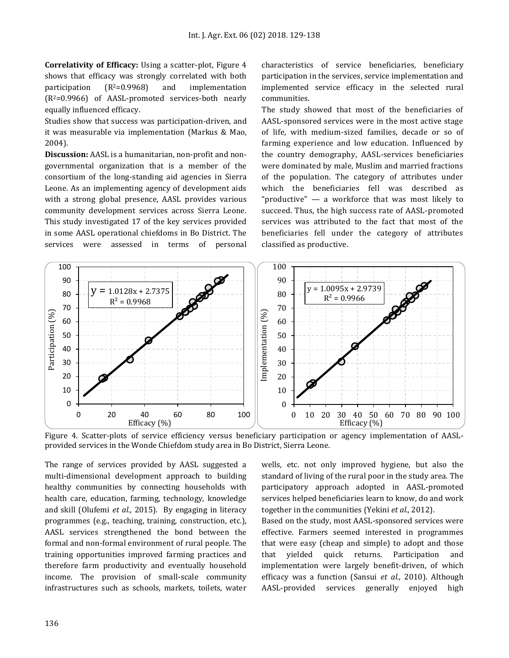**Correlativity of Efficacy:** Using a scatter-plot, Figure 4 shows that efficacy was strongly correlated with both participation  $(R^2=0.9968)$  and implementation (R2=0.9966) of AASL-promoted services-both nearly equally influenced efficacy.

Studies show that success was participation-driven, and it was measurable via implementation (Markus & Mao, 2004).

**Discussion:** AASL is a humanitarian, non-profit and nongovernmental organization that is a member of the consortium of the long-standing aid agencies in Sierra Leone. As an implementing agency of development aids with a strong global presence, AASL provides various community development services across Sierra Leone. This study investigated 17 of the key services provided in some AASL operational chiefdoms in Bo District. The services were assessed in terms of personal

characteristics of service beneficiaries, beneficiary participation in the services, service implementation and implemented service efficacy in the selected rural communities.

The study showed that most of the beneficiaries of AASL-sponsored services were in the most active stage of life, with medium-sized families, decade or so of farming experience and low education. Influenced by the country demography, AASL-services beneficiaries were dominated by male, Muslim and married fractions of the population. The category of attributes under which the beneficiaries fell was described as "productive" — a workforce that was most likely to succeed. Thus, the high success rate of AASL-promoted services was attributed to the fact that most of the beneficiaries fell under the category of attributes classified as productive.



Figure 4. Scatter-plots of service efficiency versus beneficiary participation or agency implementation of AASLprovided services in the Wonde Chiefdom study area in Bo District, Sierra Leone.

The range of services provided by AASL suggested a multi-dimensional development approach to building healthy communities by connecting households with health care, education, farming, technology, knowledge and skill (Olufemi *et al.,* 2015). By engaging in literacy programmes (e.g., teaching, training, construction, etc.), AASL services strengthened the bond between the formal and non-formal environment of rural people. The training opportunities improved farming practices and therefore farm productivity and eventually household income. The provision of small-scale community infrastructures such as schools, markets, toilets, water wells, etc. not only improved hygiene, but also the standard of living of the rural poor in the study area. The participatory approach adopted in AASL-promoted services helped beneficiaries learn to know, do and work together in the communities (Yekini *et al.,* 2012).

Based on the study, most AASL-sponsored services were effective. Farmers seemed interested in programmes that were easy (cheap and simple) to adopt and those that yielded quick returns. Participation and implementation were largely benefit-driven, of which efficacy was a function (Sansui *et al.,* 2010). Although AASL-provided services generally enjoyed high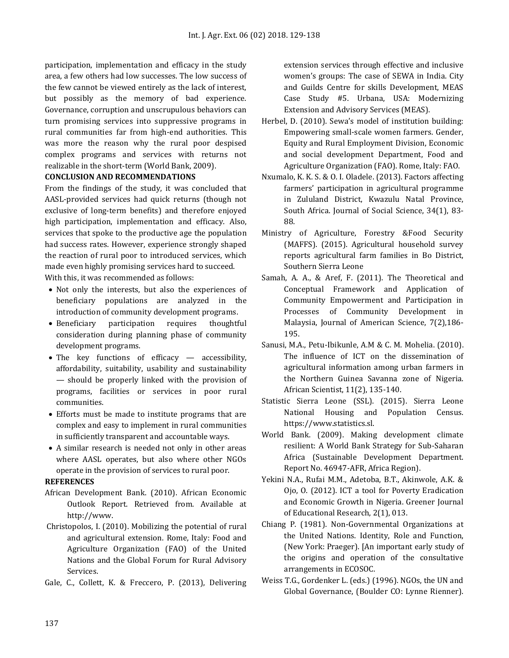participation, implementation and efficacy in the study area, a few others had low successes. The low success of the few cannot be viewed entirely as the lack of interest, but possibly as the memory of bad experience. Governance, corruption and unscrupulous behaviors can turn promising services into suppressive programs in rural communities far from high-end authorities. This was more the reason why the rural poor despised complex programs and services with returns not realizable in the short-term (World Bank, 2009).

#### **CONCLUSION AND RECOMMENDATIONS**

From the findings of the study, it was concluded that AASL-provided services had quick returns (though not exclusive of long-term benefits) and therefore enjoyed high participation, implementation and efficacy. Also, services that spoke to the productive age the population had success rates. However, experience strongly shaped the reaction of rural poor to introduced services, which made even highly promising services hard to succeed.

With this, it was recommended as follows:

- Not only the interests, but also the experiences of beneficiary populations are analyzed in the introduction of community development programs.
- Beneficiary participation requires thoughtful consideration during planning phase of community development programs.
- The key functions of efficacy accessibility, affordability, suitability, usability and sustainability — should be properly linked with the provision of programs, facilities or services in poor rural communities.
- Efforts must be made to institute programs that are complex and easy to implement in rural communities in sufficiently transparent and accountable ways.
- A similar research is needed not only in other areas where AASL operates, but also where other NGOs operate in the provision of services to rural poor.

#### **REFERENCES**

- African Development Bank. (2010). African Economic Outlook Report. Retrieved from. Available at [http://www.](http://www/)
- Christopolos, I. (2010). Mobilizing the potential of rural and agricultural extension. Rome, Italy: Food and Agriculture Organization (FAO) of the United Nations and the Global Forum for Rural Advisory Services.
- Gale, C., Collett, K. & Freccero, P. (2013), Delivering

extension services through effective and inclusive women's groups: The case of SEWA in India. City and Guilds Centre for skills Development, MEAS Case Study #5. Urbana, USA: Modernizing Extension and Advisory Services (MEAS).

- Herbel, D. (2010). Sewa's model of institution building: Empowering small-scale women farmers. Gender, Equity and Rural Employment Division, Economic and social development Department, Food and Agriculture Organization (FAO). Rome, Italy: FAO.
- Nxumalo, K. K. S. & O. I. Oladele. (2013). Factors affecting farmers' participation in agricultural programme in Zululand District, Kwazulu Natal Province, South Africa. Journal of Social Science, 34(1), 83- 88.
- Ministry of Agriculture, Forestry &Food Security (MAFFS). (2015). Agricultural household survey reports agricultural farm families in Bo District, Southern Sierra Leone
- Samah, A. A., & Aref, F. (2011). The Theoretical and Conceptual Framework and Application of Community Empowerment and Participation in Processes of Community Development in Malaysia, Journal of American Science, 7(2),186- 195.
- Sanusi, M.A., Petu-Ibikunle, A.M & C. M. Mohelia. (2010). The influence of ICT on the dissemination of agricultural information among urban farmers in the Northern Guinea Savanna zone of Nigeria. African Scientist, 11(2), 135-140.
- Statistic Sierra Leone (SSL). (2015). Sierra Leone National Housing and Population Census. https://www.statistics.sl.
- World Bank. (2009). Making development climate resilient: A World Bank Strategy for Sub-Saharan Africa (Sustainable Development Department. Report No. 46947-AFR, Africa Region).
- Yekini N.A., Rufai M.M., Adetoba, B.T., Akinwole, A.K. & Ojo, O. (2012). ICT a tool for Poverty Eradication and Economic Growth in Nigeria. Greener Journal of Educational Research, 2(1), 013.
- Chiang P. (1981). Non-Governmental Organizations at the United Nations. Identity, Role and Function, (New York: Praeger). [An important early study of the origins and operation of the consultative arrangements in ECOSOC.
- Weiss T.G., Gordenker L. (eds.) (1996). NGOs, the UN and Global Governance, (Boulder CO: Lynne Rienner).